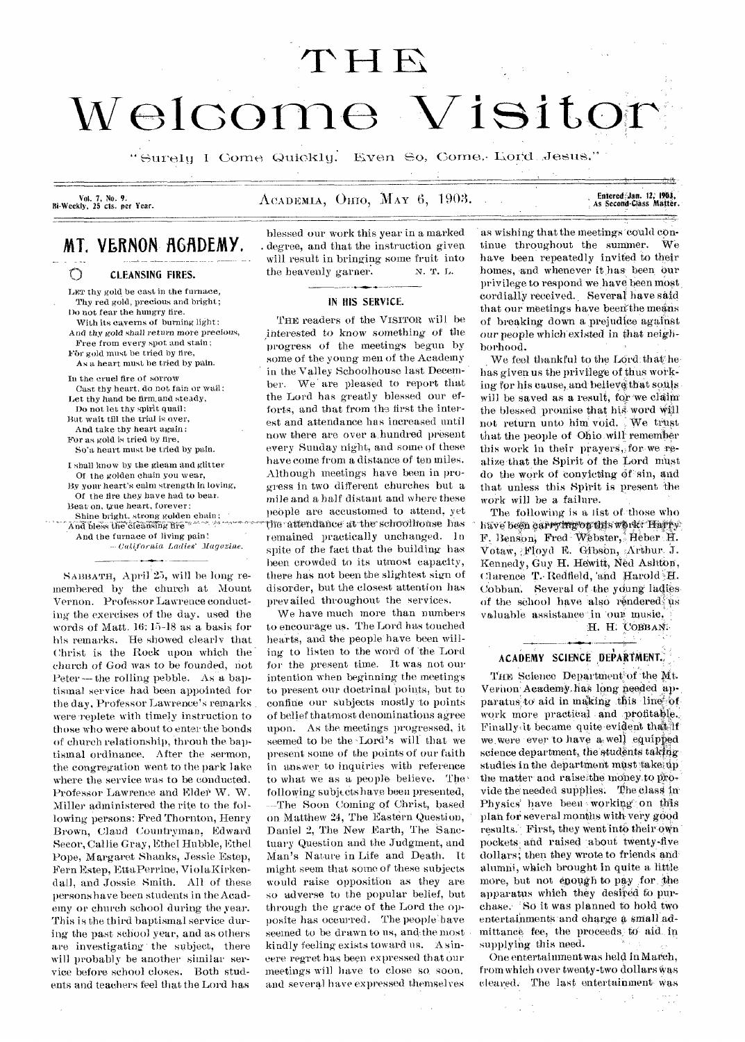# THE Welcome Visito

"Surely I Come Quickly. Even So, Come. Lord Jesus."

Vol. 7, No. 9.<br>Bi-Weekly, 25 cts. per Year.

 $\Lambda$ CADEMIA,  $O<sub>HO</sub>$ , May 6, 1903.

Entered Jan. 12, 1903,<br>As Second-Class Matter.

# MT. VERNON AGADEMY.

౧ CLEANSING FIRES.

LET thy gold be cast in the furnace, Thy red gold, precious and bright; Do not fear the hungry fire.

With its caverns of burning light: And thy gold shall *return* more *precious,* 

Free from every spot and stain; For gold must be tried by fire,

As a heart must be tried by pain.

In the cruel fire of sorrow

Cast thy heart, do not fain or wail: Let thy hand be firm, and steady,

Do not let thy spirit quail: But wait till the trial is over,

And take thy heart again:

For as gold is tried by fire, So'a heart must be tried by pain.

I shall know by the gleam and glitter Of the golden chain you wear,

By your heart's calm strength in loving, Of the fire they have had to bear. Beat on, true heart, forever

Shine bright. strong golden chain;

 $\widetilde{\text{And}}$ And the furnace of living pain!

*California Ladies' Magazine.* 

SABBATH, April<sup>'25</sup>, will be long remembered by the church at Mount Vernon. Professor Lawrence conducting the exercises of the day. used the words of Matt. 16: 15-18 as a basis for his remarks. He showed clearly that Christ is the Rock upon which the church of God was to be founded, not Peter — the rolling pebble. As a baptismal service had been appointed for the day, Professor Lawrence's remarks were-replete with timely instruction to those who were about to enter the bonds of church relationship, throuh the baptismal ordinance. After the sermon, the congregation went to the park lake where the service was to be conducted. Professor Lawrence and Elder W. W. Miller administered the rite to the following persons: Fred Thornton, Henry Brown, Claud Countryman, Edward Secor, Callie Gray, Ethel Hubble, Ethel Pope, Margaret Shanks, Jessie Estep, Fern Estep, EttaPerrine, ViolaKirkendall, and Jossie Smith. All of these persons have been students in the Academy or church school during the year. This is the third baptismal service during the past school year, and as others are investigating the subject, there will probably be another similar service before school closes. Both students and teachers feel that the Lord has

blessed our work this year in a marked . degree, and that the instruction given will result in bringing some fruit into the heavenly garner. **N. T. L.** 

#### IN HIS SERVICE.

THE readers of the VISITOR will be interested to know something of the progress of the meetings begun by some of the young men of the Academy in the Valley Schoolhouse last December. We are pleased to report that the Lord has greatly blessed our efforts, and that from the first the interest and attendance has increased until now there are over a hundred present every Sunday night, and some of these have come from a distance of ten miles. Although meetings have been in progress in two different churches but a mile and a half distant and where these people are accustomed to attend, yet the attendance at the schoolhouse has remained practically unchanged. In spite of the fact that the building has been crowded to its utmost capacity, there has not been the slightest sign of disorder, but the closest attention has prevailed throughout the services.

We have much more than numbers to encourage us. The Lord has touched hearts, and the people have been willing to listen to the word of the Lord for the present time. It was not our intention when beginning the meetings to present our doctrinal points, but to confine our subjects mostly to points of belief thatmost denominations agree upon. As the meetings progressed, it seemed to be the Lord's will that we present some of the points of our faith in answer to inquiries with reference to what we as a people believe. The  $following$  subjects have been presented, ---The Soon Coming of Christ, based on Matthew 24, The Eastern Question, Daniel 2, The New Earth, The Sanctuary Question and the Judgment, and Man's Nature in Life and Death. It might seem that some of these subjects would raise opposition as they are so adverse to the popular belief, but through the grace of the Lord the opposite has occurred. The people have seemed to be drawn to us, and,the most kindly feeling exists toward us. A sincere regret has been expressed that our meetings will have to close so, soon. and several have expressed themselves

as wishing that the meetings could continue throughout the summer. We have been repeatedly invited to their homes, and whenever it has been our privilege to respond we have been most cordially received.. Several have skid that our meetings have been the means of breaking down a prejudice against our people which existed in that neighborhood.

We feel thankful to the Lord that he has given us the privilege of thus working for his cause, and believe that souls will be saved as a result, for we claim the blessed promise that his word will not return unto him void. We trust that the people of Ohio will remem'her this work in their prayers, for we realize that the Spirit of the Lord must do the work of convicting of sin, and that unless this Spirit is present the work will be a failure.

The following is a list of those who have been carrying on this work. Havey F. Benson, Fred Webster, Heber H. Votaw, Floyd E. Gibson, Arthur, J. Kennedy, Guy H. Hewitt, Ned Asliten, Clarence T. Redfield, and Harold H. Cobban. Several of the young ladiesof the school have also rendered us valuable assistance in our music,

H. H. COBBAN.

#### ACADEMY SCIENCE DEPARTMENT.

THE Science Department of the Mt. Vernon: Academy.has long needed apparatus to aid in making this line of work more practical and profitable. Finally it became quite evident that if we were ever to have a well equipped science department, the students taking studies in the department must take up the matter and raise the money to provide the needed supplies. The class in Physics' have been working on this plan for several months with very good results. First, they went into their own pockets and raised about twenty-five dollars; then they wrote to friends and alumni, which brought in quite a little more, but not enough to pay for, the apparatus which they desired to purchase.. So it was planned to hold two entertainments and charge a small admittance fee, the proceeds; to aid in supplying this need.

One entertainment was held in March, from which over twenty-two dollars Was cleared. The last entertainment Was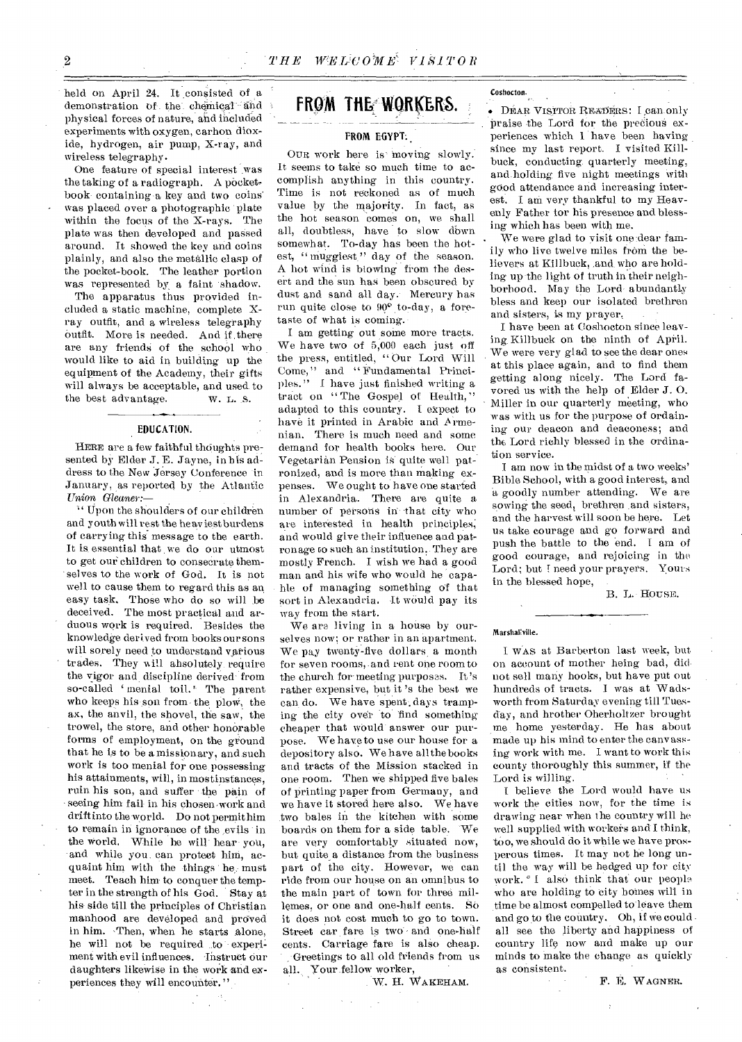held on April 24. It consisted of a demonstration of the chemical and physical forces of nature, and included experiments with oxygen, carbon dioxide, hydrogen, air pump, X-ray, and wireless telegraphy.

One feature of special interest was the taking of a radiograph. A pocketbook containing -a key and two coins' was placed over a photographic plate within the focus of the X-rays. The plate was then developed and passed around. It showed the key and coins plainly, and also the metallic clasp of the pocket-book. The leather portion was represented by a faint shadow.

The apparatus thus provided included a static machine, complete Xray outfit, and a wireless telegraphy outfit. More is needed. And if. there are any friends of the school who would like to aid in building up the equipment of the Academy, their gifts will always be acceptable, and used to the best advantage. W. L. S.

#### EDUCATION.

HERE are a few faithful thoughts presented by Elder J. E. Jayne, in his address to the New Jersey Conference in January, as reported by the Atlantic *Union Gleaner:—* 

z' Upon the shoulders of our children and youth will rest the he av iestburdens of carrying this message to the earth. It is essential that we do our utmost to get our children to consecrate themselves to the work of God. It is not well to cause them to regard this as an easy task, Those who do so will be deceived. The most practical and arduous work is required. Besides the knowledge derived from books our sons will sorely need to understand various trades. They will absolutely require the vigor and discipline derived from so-called 'menial toil.' The parent who keeps his son from the plow, the ax, the anvil, the shovel, the saw, the trowel, the store, and other honorable forms of employment, on the ground that he is to be a missionary, and such work is too menial for one possessing his attainments, will, in mostinstances, ruin his son, and suffer the pain of seeing him fail in his chosen-work and drift into the world. Do not permithim to remain in ignorance of the .evils in the world. While he will hear you, and while you can protect him, acquaint him with the things he, must meet. Teach him to conquer the tempter in the strength of his God. Stay at his side till the principles of Christian manhood are developed and proved in him. Then, when he starts alone, he will not be required to experiment with evil influences. Instruct Our daughters likewise in the work and experiences they will encounter."

## FROM THE WORKERS.

#### FROM EGYPT.

OUR work here is moving slowly. It seems to take so much time to accomplish anything in this country. Time is not reckoned as of much value by the majority. In fact, as the hot season comes on, we shall all, doubtless, have to slow down somewhat. To-day has been the hotest, " muggiest." day of the season. A hot wind is blowing from the desert and the sun has been obscured by dust and sand all day. Mercury has run quite close to 90° to-day, a foretaste of what is coming.

I am getting out some more tracts. We have two of 5,000 each just off the press, entitled, " Our Lord Will Come," and " Fundamental Principles." I have just finished writing a tract on "The Gospel of Health," adapted to this country. I expect to have it printed in Arabic and Armenian. There is much need and some demand for health books here. Our Vegetarian Pension is quite well patronized, and is more than making expenses. We ought to have one started in Alexandria. There are quite a number of persons in that city who are interested in health principles; and would give their influence and patronage to such an institution,. They are mostly French. I wish we had a good man and his wife who would be 'capable of managing something of that sort in Alexandria. It would pay its way from the start.

We are living in a house by ourselves now; or rather in an apartment. We pay twenty-five dollars a month for seven rooms, .and rent one room to the church for meeting purposes. It's rather expensive, but it 's the best we can do. We have spent. days tramping the city over to find something cheaper that would- answer our purpose. We have to use our house for a depository also. We have all the books and tracts of the Mission stacked in one room. Then we shipped five bales of printing paper from Germany, and we have it stored here also. We have two bales in the kitchen with some boards on them for a side table. 'We are very comfortably situated now, but quite a distance from the business part of the city. However, we can ride from our house on an omnibus to the main part of town for three millemes, or one and one-half cents. So it does not cost much to go to town. Street car fare is two and one-half cents. Carriage fare is also cheap. -Greetings to all old friends from us all. Your fellow worker,

W. H. WAKEHAM.

Coshocton.

• DEAR VISITOR READERS: I can only praise the Lord for the precious experiences which 1 have been having since my last report. I visited Killbuck, conducting, quarterly meeting, and holding five night meetings with good attendance and increasing interest. I am very thankful to my Heavenly Father for his presence and blessing which has been with me.

We were glad to visit one dear family who live twelve miles from the believers at Killbuck, ,and who are holding up the light of truth in their neighborhood. May the Lord abundantly bless and keep our isolated brethren and sisters, is my prayer.

I have been at Coshocton since leaving Killbuck on the ninth of April. We were very glad to see the dear ones at this place again, and to find them getting along nicely. The Lord favored us with the help of Elder J. 0. Miller in our quarterly meeting, who was with us for the purpose of ordaining our deacon and deaconess; and the Lord richly blessed in the ordination service.

I am now in the midst of a two weeks' Bible School, with a good interest, and a goodly number attending. We are sowing the seed, brethren and sisters, and the harvest will soon be here. Let us take courage and go forward and push the battle to the 'end. I am of good courage, and rejoicing in the Lord; but I need your prayers. Yours in the blessed hope,

B. L. HousE.

#### Marshailville.

I WAS at Barberton last week, but on account of mother being bad, did. not sell many books, but have put out hundreds of tracts. I was at Wadsworth from *Saturday* evening till Tuesday, and brother Oberholtzer brought me home yesterday. He has about made up his mind to enter the canvassing work with me. I want to work this county thoroughly this summer, if the Lord is willing.

I believe the Lord would have us work the cities now, for the time is drawing near when the country will be well supplied with workers and I think, too, we should do it while we have prosperous times. It may not be long until the way will be hedged up for city work. <sup>"</sup> I also think that our people who are holding to city homes will in time be almost compelled to leave them and go to the country, Oh, if we could . all see the liberty and happiness of country life now and make up our minds to make the change as quickly as consistent.

*F.* E. WAGNER.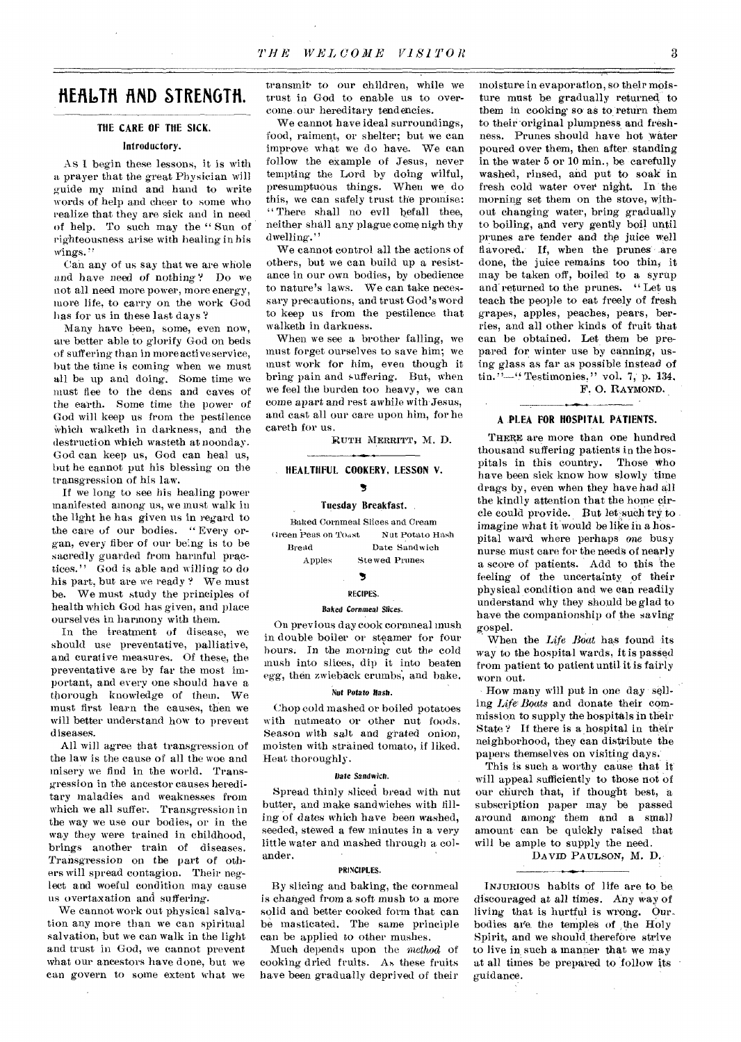## **HERI0TH FIND STRENGTH.**

#### THE CARE OF THE SICK.

#### Introductory.

As I begin these lessons, it is with a prayer that the great Physician will guide my mind and hand to write words of help and cheer to some who realize that they are sick and in need of help. To such may the " Sun of righteousness arise with healing in his wings."

Can any of us say that we are whole and have need of nothing ? Do we not all need more power, more energy, more life, to carry on the work God has for us in these last days'?

Many have been, some, even now, are better able to glorify God on beds of suffering than in more active service, but the time is coming when we must all be up and doing. Some time we must flee to the dens and caves of the earth. Some time the power of God will keep us from the pestilence Which walketh in darkness, and the destruction which wasteth at noonday. God can keep us, God can heal us, but he cannot put his blessing on the transgression of his law.

If we long to see his healing power manifested among us, we must walk in the light he has given us in regard to the care of our bodies. " Every organ, every fiber of our being is to be sacredly guarded from harmful practices." God is able and *willing* to do his part, but are we ready ? We must be. We must study the principles of health which God has given, and place ourselves in harmony with them.

In the treatment of disease, we should use preventative, palliative, and curative measures. Of these; the preventative are by far the most important, and every one should have a thorough knowledge of them. We must first learn the causes, then we will better understand how to prevent diseases.

All will agree that transgression of the law is the cause of all the woe and misery we find in the world. Transgression in the ancestor causes hereditary maladies and weaknesses from which we all suffer. Transgression in the way we use our bodies, or in the way they were trained in childhood, brings another train of diseases. Transgression on the part of others will spread contagion. Their neglect and woeful condition may cause us overtaxation and suffering.

We cannot work out physical salvation any more than we can spiritual salvation, but we can walk in the light and trust in God, we cannot prevent what our ancestors have done, but we can govern to some extent what we transmit• to our children, while we trust in God to enable us to overcome, our hereditary tendencies.

We cannot have ideal surroundings, food, raiment, or shelter; but we can improve what we do have. We can follow the example of Jesus, never tempting the Lord by doing wilful, presumptuous things. When we do this, we can safely trust the promise: " There shall no evil befall thee, neither shall any plague come nigh thy dwelling."

We cannot control all the actions of others, but we can build up a resistance in our own bodies, by obedience to nature's laws. We can take necessary precautions, and trust God's word to keep us from the pestilence that walketh in darkness.

When we see a brother falling, we must forget ourselves to save him; we must work for him, even though it bring pain and suffering. But, when we feel the burden too heavy, we can come apart and rest awhile with-Jesus, and cast all our care upon him, for he careth for us.

RUTH MERRITT, M. D.

#### HEALTHFUL COOKERY, LESSON V. 5

#### Tuesday Breakfast. ,

Baked Cornmeal Slices and Cream Green Peas on To<sub>ast</sub> Nut Potato Hash Bread Date Sandwich Apples Stewed Prunes

#### S

#### RECIPES.

#### Baked *Cornmeal* Slices.

On previous day cook cornmeal mush in double boiler or steamer for four hours. In the morning cut the cold mush into slices, dip it into beaten *egg,* then zwieback crumbs, and hake.

#### *Nut Potato Hash.*

Chop cold mashed or boiled potatoes with nutmeato or other nut foods. Season with salt and grated onion, moisten with strained tomato, if liked. Heat thoroughly.

#### *Date Sandwich.*

Spread thinly sliced bread with nut butter, and make sandwiches with filling of dates which have been washed, seeded, stewed a few minutes in a very little water and mashed through a colander.

#### PRINCIPLES.

By slicing and baking, the cornmeal is changed from a soft mush to a more solid and better cooked form that can be masticated. The same principle can be applied to other mushes.

Much depends upon the *method* of cooking dried fruits. As these fruits have been gradually deprived of their

moisture in evaporation, so their moisture must be gradually returned to them in cooking so as to return them to their original plumpness and freshness. Prunes should have hot water poured over them, then after standing in the water 5 or 10 min., be carefully washed, rinsed, and put to soak in fresh cold water over night. In the morning set them on the stove, without changing water, bring gradually to boiling, and very gently boil until prunes are tender and the juice well flavored. If, when the prunes are done, the juice remains too thin, it may be taken off, boiled to a syrup and' returned to the prunes. " Let us teach the people to eat freely of fresh grapes, apples, peaches, pears, berries, and all other kinds of fruit that can be obtained. Let them be prepared for winter use by canning, using glass as far as possible instead of  $\text{tin.} "--"$  Testimonies," vol. 7, p. 134.

F. 0. RAYMOND.

#### A .PLEA FOR HOSPITAL PATIENTS.

THERE are more than one hundred thousand suffering patients in the hos-<br>pitals in this country. Those who pitals in this country. have been sick know how slowly time drags by, even when they have had all the kindly attention that the home circle could provide. But let such try to. imagine what it would be like in a hospital ward where perhaps one busy nurse must care for the needs of nearly a score of patients. Add to this the feeling of the uncertainty of their physical condition and we can readily understand why they should be glad to have the companionship of the saving gospel.

When the *Life Boat* has found its way to the hospital wards, it is passed from patient to patient until it is fairly worn out.

How many will put in one day sell-*Life,Boats* and donate their commission to supply the hospitals in their State? If there is a hospital in their neighborhood, they can distribute the papers themselves on visiting days.

This is such a worthy cause that it will appeal sufficiently to those not of our church that, if thought best, a subscription paper may be passed around among them and a small amount-can be quickly raised that will be ample to supply the need.

DAVID PAULSON, M. D.,

INJURIOUS habits of life are to be discouraged at all times. Any way *of*  living that is hurtful is wrong. Ourbodies are. the temples of ,the Holy Spirit, and we should therefore strive to live in such a manner that we may at all times be prepared to follow its guidance.